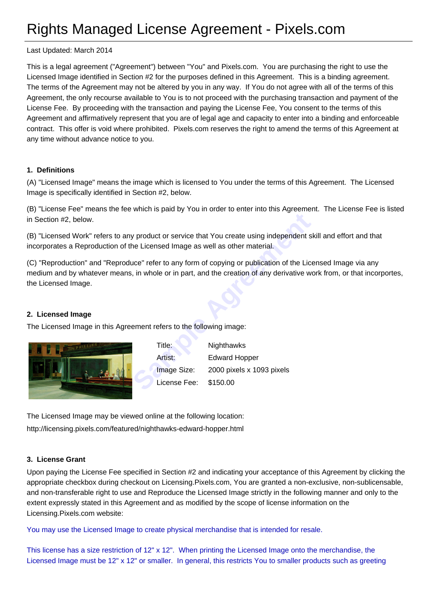# Rights Managed License Agreement - Pixels.com

Last Updated: March 2014

This is a legal agreement ("Agreement") between "You" and Pixels.com. You are purchasing the right to use the Licensed Image identified in Section #2 for the purposes defined in this Agreement. This is a binding agreement. The terms of the Agreement may not be altered by you in any way. If You do not agree with all of the terms of this Agreement, the only recourse available to You is to not proceed with the purchasing transaction and payment of the License Fee. By proceeding with the transaction and paying the License Fee, You consent to the terms of this Agreement and affirmatively represent that you are of legal age and capacity to enter into a binding and enforceable contract. This offer is void where prohibited. Pixels.com reserves the right to amend the terms of this Agreement at any time without advance notice to you.

## **1. Definitions**

(A) "Licensed Image" means the image which is licensed to You under the terms of this Agreement. The Licensed Image is specifically identified in Section #2, below.

(B) "License Fee" means the fee which is paid by You in order to enter into this Agreement. The License Fee is listed in Section #2, below.

(B) "Licensed Work" refers to any product or service that You create using independent skill and effort and that incorporates a Reproduction of the Licensed Image as well as other material.

(C) "Reproduction" and "Reproduce" refer to any form of copying or publication of the Licensed Image via any medium and by whatever means, in whole or in part, and the creation of any derivative work from, or that incorportes, the Licensed Image.

#### **2. Licensed Image**

The Licensed Image in this Agreement refers to the following image:



France I of Service that You create using independent show Licensed Image as well as other material.<br>
Sample Trefer to any form of copying or publication of the License<br>
i, in whole or in part, and the creation of any deri Title: Nighthawks Artist: Edward Hopper Image Size: 2000 pixels x 1093 pixels License Fee: \$150.00

The Licensed Image may be viewed online at the following location: http://licensing.pixels.com/featured/nighthawks-edward-hopper.html

#### **[3. License Grant](http://licensing.pixels.com/featured/nighthawks-edward-hopper.html)**

Upon paying the License Fee specified in Section #2 and indicating your acceptance of this Agreement by clicking the appropriate checkbox during checkout on Licensing.Pixels.com, You are granted a non-exclusive, non-sublicensable, and non-transferable right to use and Reproduce the Licensed Image strictly in the following manner and only to the extent expressly stated in this Agreement and as modified by the scope of license information on the Licensing.Pixels.com website:

You may use the Licensed Image to create physical merchandise that is intended for resale.

This license has a size restriction of 12" x 12". When printing the Licensed Image onto the merchandise, the Licensed Image must be 12" x 12" or smaller. In general, this restricts You to smaller products such as greeting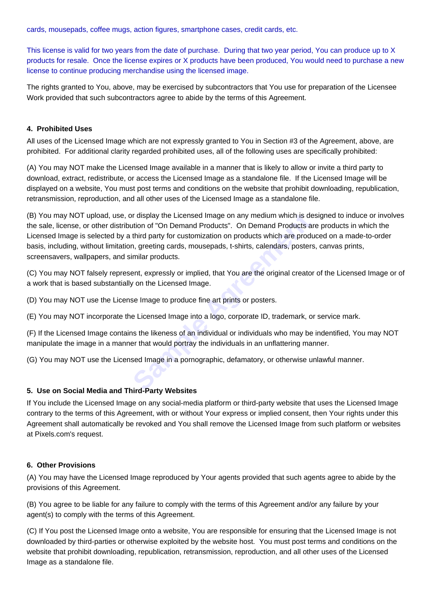cards, mousepads, coffee mugs, action figures, smartphone cases, credit cards, etc.

This license is valid for two years from the date of purchase. During that two year period, You can produce up to X products for resale. Once the license expires or X products have been produced, You would need to purchase a new license to continue producing merchandise using the licensed image.

The rights granted to You, above, may be exercised by subcontractors that You use for preparation of the Licensee Work provided that such subcontractors agree to abide by the terms of this Agreement.

## **4. Prohibited Uses**

All uses of the Licensed Image which are not expressly granted to You in Section #3 of the Agreement, above, are prohibited. For additional clarity regarded prohibited uses, all of the following uses are specifically prohibited:

(A) You may NOT make the Licensed Image available in a manner that is likely to allow or invite a third party to download, extract, redistribute, or access the Licensed Image as a standalone file. If the Licensed Image will be displayed on a website, You must post terms and conditions on the website that prohibit downloading, republication, retransmission, reproduction, and all other uses of the Licensed Image as a standalone file.

In display the Licensed Image on any medium which is dention of "On Demand Products". On Demand Products at third party for customization on products which are products at third party for customization on products which ar (B) You may NOT upload, use, or display the Licensed Image on any medium which is designed to induce or involves the sale, license, or other distribution of "On Demand Products". On Demand Products are products in which the Licensed Image is selected by a third party for customization on products which are produced on a made-to-order basis, including, without limitation, greeting cards, mousepads, t-shirts, calendars, posters, canvas prints, screensavers, wallpapers, and similar products.

(C) You may NOT falsely represent, expressly or implied, that You are the original creator of the Licensed Image or of a work that is based substantially on the Licensed Image.

(D) You may NOT use the License Image to produce fine art prints or posters.

(E) You may NOT incorporate the Licensed Image into a logo, corporate ID, trademark, or service mark.

(F) If the Licensed Image contains the likeness of an individual or individuals who may be indentified, You may NOT manipulate the image in a manner that would portray the individuals in an unflattering manner.

(G) You may NOT use the Licensed Image in a pornographic, defamatory, or otherwise unlawful manner.

# **5. Use on Social Media and Third-Party Websites**

If You include the Licensed Image on any social-media platform or third-party website that uses the Licensed Image contrary to the terms of this Agreement, with or without Your express or implied consent, then Your rights under this Agreement shall automatically be revoked and You shall remove the Licensed Image from such platform or websites at Pixels.com's request.

## **6. Other Provisions**

(A) You may have the Licensed Image reproduced by Your agents provided that such agents agree to abide by the provisions of this Agreement.

(B) You agree to be liable for any failure to comply with the terms of this Agreement and/or any failure by your agent(s) to comply with the terms of this Agreement.

(C) If You post the Licensed Image onto a website, You are responsible for ensuring that the Licensed Image is not downloaded by third-parties or otherwise exploited by the website host. You must post terms and conditions on the website that prohibit downloading, republication, retransmission, reproduction, and all other uses of the Licensed Image as a standalone file.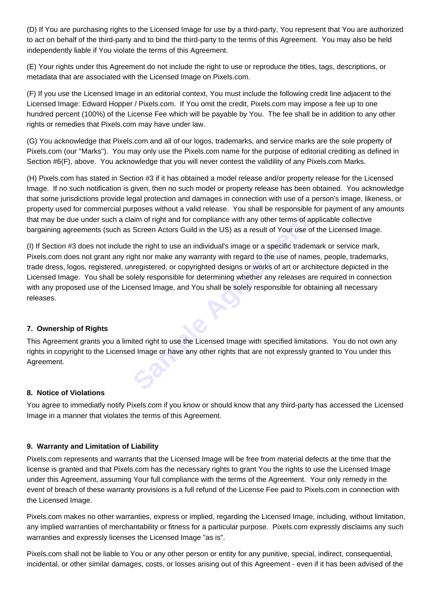(D) If You are purchasing rights to the Licensed Image for use by a third-party, You represent that You are authorized to act on behalf of the third-party and to bind the third-party to the terms of this Agreement. You may also be held independently liable if You violate the terms of this Agreement.

(E) Your rights under this Agreement do not include the right to use or reproduce the titles, tags, descriptions, or metadata that are associated with the Licensed Image on Pixels.com.

(F) If you use the Licensed Image in an editorial context, You must include the following credit line adjacent to the Licensed Image: Edward Hopper / Pixels.com. If You omit the credit, Pixels.com may impose a fee up to one hundred percent (100%) of the License Fee which will be payable by You. The fee shall be in addition to any other rights or remedies that Pixels.com may have under law.

(G) You acknowledge that Pixels.com and all of our logos, trademarks, and service marks are the sole property of Pixels.com (our "Marks"). You may only use the Pixels.com name for the purpose of editorial crediting as defined in Section #6(F), above. You acknowledge that you will never contest the validility of any Pixels.com Marks.

(H) Pixels.com has stated in Section #3 if it has obtained a model release and/or property release for the Licensed Image. If no such notification is given, then no such model or property release has been obtained. You acknowledge that some jurisdictions provide legal protection and damages in connection with use of a person's image, likeness, or property used for commercial purposes without a valid release. You shall be responsible for payment of any amounts that may be due under such a claim of right and for compliance with any other terms of applicable collective bargaining agreements (such as Screen Actors Guild in the US) as a result of Your use of the Licensed Image.

Frame of right and for compliance with any other terms of applient of the right to use an individual's image or a specific trademy the right to use an individual's image or a specific trademy fund to the use of name angula (I) If Section #3 does not include the right to use an individual's image or a specific trademark or service mark, Pixels.com does not grant any right nor make any warranty with regard to the use of names, people, trademarks, trade dress, logos, registered, unregistered, or copyrighted designs or works of art or architecture depicted in the Licensed Image. You shall be solely responsible for determining whether any releases are required in connection with any proposed use of the Licensed Image, and You shall be solely responsible for obtaining all necessary releases.

# **7. Ownership of Rights**

This Agreement grants you a limited right to use the Licensed Image with specified limitations. You do not own any rights in copyright to the Licensed Image or have any other rights that are not expressly granted to You under this Agreement.

## **8. Notice of Violations**

You agree to immediatly notify Pixels.com if you know or should know that any third-party has accessed the Licensed Image in a manner that violates the terms of this Agreement.

## **9. Warranty and Limitation of Liability**

Pixels.com represents and warrants that the Licensed Image will be free from material defects at the time that the license is granted and that Pixels.com has the necessary rights to grant You the rights to use the Licensed Image under this Agreement, assuming Your full compliance with the terms of the Agreement. Your only remedy in the event of breach of these warranty provisions is a full refund of the License Fee paid to Pixels.com in connection with the Licensed Image.

Pixels.com makes no other warranties, express or implied, regarding the Licensed Image, including, without limitation, any implied warranties of merchantability or fitness for a particular purpose. Pixels.com expressly disclaims any such warranties and expressly licenses the Licensed Image "as is".

Pixels.com shall not be liable to You or any other person or entity for any punitive, special, indirect, consequential, incidental, or other similar damages, costs, or losses arising out of this Agreement - even if it has been advised of the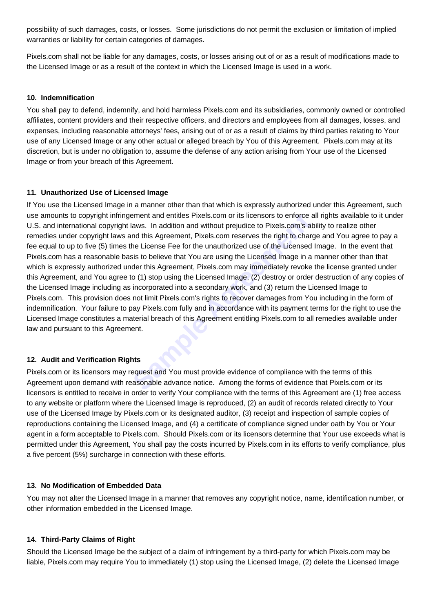possibility of such damages, costs, or losses. Some jurisdictions do not permit the exclusion or limitation of implied warranties or liability for certain categories of damages.

Pixels.com shall not be liable for any damages, costs, or losses arising out of or as a result of modifications made to the Licensed Image or as a result of the context in which the Licensed Image is used in a work.

#### **10. Indemnification**

You shall pay to defend, indemnify, and hold harmless Pixels.com and its subsidiaries, commonly owned or controlled affiliates, content providers and their respective officers, and directors and employees from all damages, losses, and expenses, including reasonable attorneys' fees, arising out of or as a result of claims by third parties relating to Your use of any Licensed Image or any other actual or alleged breach by You of this Agreement. Pixels.com may at its discretion, but is under no obligation to, assume the defense of any action arising from Your use of the Licensed Image or from your breach of this Agreement.

#### **11. Unauthorized Use of Licensed Image**

Frament and entitles Pixels.com or its licensors to enforce a<br>laws. In addition and without prejudice to Pixels.com's at<br>nd this Agreement, Pixels.com reserves the right to charge<br>he License Fee for the unauthorized use of If You use the Licensed Image in a manner other than that which is expressly authorized under this Agreement, such use amounts to copyright infringement and entitles Pixels.com or its licensors to enforce all rights available to it under U.S. and international copyright laws. In addition and without prejudice to Pixels.com's ability to realize other remedies under copyright laws and this Agreement, Pixels.com reserves the right to charge and You agree to pay a fee equal to up to five (5) times the License Fee for the unauthorized use of the Licensed Image. In the event that Pixels.com has a reasonable basis to believe that You are using the Licensed Image in a manner other than that which is expressly authorized under this Agreement, Pixels.com may immediately revoke the license granted under this Agreement, and You agree to (1) stop using the Licensed Image, (2) destroy or order destruction of any copies of the Licensed Image including as incorporated into a secondary work, and (3) return the Licensed Image to Pixels.com. This provision does not limit Pixels.com's rights to recover damages from You including in the form of indemnification. Your failure to pay Pixels.com fully and in accordance with its payment terms for the right to use the Licensed Image constitutes a material breach of this Agreement entitling Pixels.com to all remedies available under law and pursuant to this Agreement.

## **12. Audit and Verification Rights**

Pixels.com or its licensors may request and You must provide evidence of compliance with the terms of this Agreement upon demand with reasonable advance notice. Among the forms of evidence that Pixels.com or its licensors is entitled to receive in order to verify Your compliance with the terms of this Agreement are (1) free access to any website or platform where the Licensed Image is reproduced, (2) an audit of records related directly to Your use of the Licensed Image by Pixels.com or its designated auditor, (3) receipt and inspection of sample copies of reproductions containing the Licensed Image, and (4) a certificate of compliance signed under oath by You or Your agent in a form acceptable to Pixels.com. Should Pixels.com or its licensors determine that Your use exceeds what is permitted under this Agreement, You shall pay the costs incurred by Pixels.com in its efforts to verify compliance, plus a five percent (5%) surcharge in connection with these efforts.

## **13. No Modification of Embedded Data**

You may not alter the Licensed Image in a manner that removes any copyright notice, name, identification number, or other information embedded in the Licensed Image.

#### **14. Third-Party Claims of Right**

Should the Licensed Image be the subject of a claim of infringement by a third-party for which Pixels.com may be liable, Pixels.com may require You to immediately (1) stop using the Licensed Image, (2) delete the Licensed Image